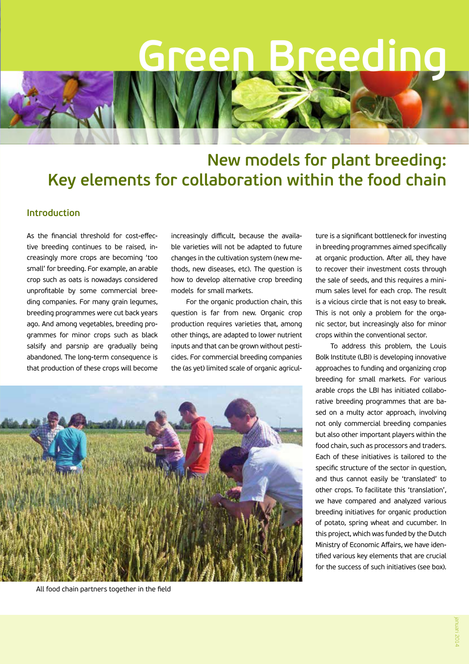# **Green Breeding**

## **New models for plant breeding: Key elements for collaboration within the food chain**

### **Introduction**

As the financial threshold for cost-effective breeding continues to be raised, increasingly more crops are becoming 'too small' for breeding. For example, an arable crop such as oats is nowadays considered unprofitable by some commercial breeding companies. For many grain legumes, breeding programmes were cut back years ago. And among vegetables, breeding programmes for minor crops such as black salsify and parsnip are gradually being abandoned. The long-term consequence is that production of these crops will become increasingly difficult, because the available varieties will not be adapted to future changes in the cultivation system (new methods, new diseases, etc). The question is how to develop alternative crop breeding models for small markets.

For the organic production chain, this question is far from new. Organic crop production requires varieties that, among other things, are adapted to lower nutrient inputs and that can be grown without pesticides. For commercial breeding companies the (as yet) limited scale of organic agricul-



All food chain partners together in the field

ture is a significant bottleneck for investing in breeding programmes aimed specifically at organic production. After all, they have to recover their investment costs through the sale of seeds, and this requires a minimum sales level for each crop. The result is a vicious circle that is not easy to break. This is not only a problem for the organic sector, but increasingly also for minor crops within the conventional sector.

To address this problem, the Louis Bolk Institute (LBI) is developing innovative approaches to funding and organizing crop breeding for small markets. For various arable crops the LBI has initiated collaborative breeding programmes that are based on a multy actor approach, involving not only commercial breeding companies but also other important players within the food chain, such as processors and traders. Each of these initiatives is tailored to the specific structure of the sector in question, and thus cannot easily be 'translated' to other crops. To facilitate this 'translation', we have compared and analyzed various breeding initiatives for organic production of potato, spring wheat and cucumber. In this project, which was funded by the Dutch Ministry of Economic Affairs, we have identified various key elements that are crucial for the success of such initiatives (see box).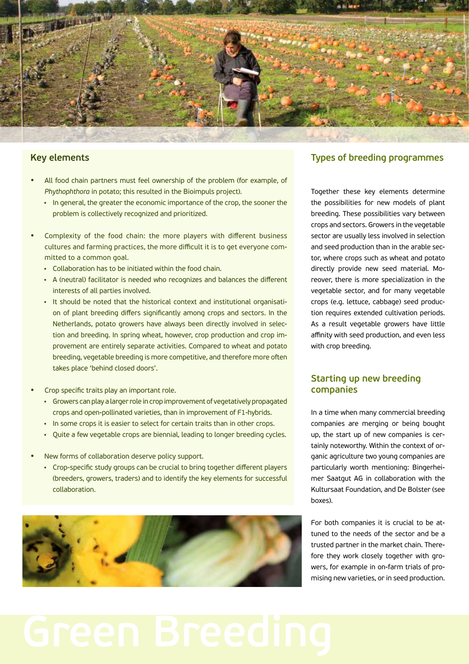

#### **Key elements**

- All food chain partners must feel ownership of the problem (for example, of *Phythophthora* in potato; this resulted in the Bioimpuls project).
	- In general, the greater the economic importance of the crop, the sooner the problem is collectively recognized and prioritized.
- Complexity of the food chain: the more players with different business cultures and farming practices, the more difficult it is to get everyone committed to a common goal.
	- Collaboration has to be initiated within the food chain.
	- A (neutral) facilitator is needed who recognizes and balances the different interests of all parties involved.
	- It should be noted that the historical context and institutional organisation of plant breeding differs significantly among crops and sectors. In the Netherlands, potato growers have always been directly involved in selection and breeding. In spring wheat, however, crop production and crop improvement are entirely separate activities. Compared to wheat and potato breeding, vegetable breeding is more competitive, and therefore more often takes place 'behind closed doors'.
- Crop specific traits play an important role.
	- Growers can play a larger role in crop improvement of vegetatively propagated crops and open-pollinated varieties, than in improvement of F1-hybrids.
	- In some crops it is easier to select for certain traits than in other crops.
	- Quite a few vegetable crops are biennial, leading to longer breeding cycles.
- New forms of collaboration deserve policy support.
	- Crop-specific study groups can be crucial to bring together different players (breeders, growers, traders) and to identify the key elements for successful collaboration.



## **Types of breeding programmes**

Together these key elements determine the possibilities for new models of plant breeding. These possibilities vary between crops and sectors. Growers in the vegetable sector are usually less involved in selection and seed production than in the arable sector, where crops such as wheat and potato directly provide new seed material. Moreover, there is more specialization in the vegetable sector, and for many vegetable crops (e.g. lettuce, cabbage) seed production requires extended cultivation periods. As a result vegetable growers have little affinity with seed production, and even less with crop breeding.

#### **Starting up new breeding companies**

In a time when many commercial breeding companies are merging or being bought up, the start up of new companies is certainly noteworthy. Within the context of organic agriculture two young companies are particularly worth mentioning: Bingerheimer Saatgut AG in collaboration with the Kultursaat Foundation, and De Bolster (see boxes).

For both companies it is crucial to be attuned to the needs of the sector and be a trusted partner in the market chain. Therefore they work closely together with growers, for example in on-farm trials of promising new varieties, or in seed production.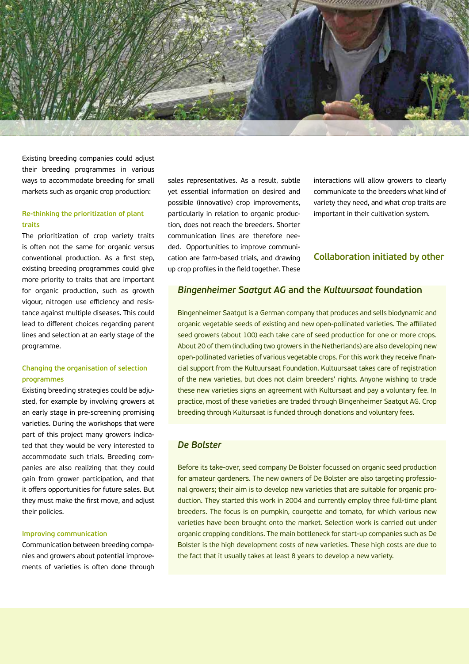

Existing breeding companies could adjust their breeding programmes in various ways to accommodate breeding for small markets such as organic crop production:

#### **Re-thinking the prioritization of plant traits**

The prioritization of crop variety traits is often not the same for organic versus conventional production. As a first step, existing breeding programmes could give more priority to traits that are important for organic production, such as growth vigour, nitrogen use efficiency and resistance against multiple diseases. This could lead to different choices regarding parent lines and selection at an early stage of the programme.

#### **Changing the organisation of selection programmes**

Existing breeding strategies could be adjusted, for example by involving growers at an early stage in pre-screening promising varieties. During the workshops that were part of this project many growers indicated that they would be very interested to accommodate such trials. Breeding companies are also realizing that they could gain from grower participation, and that it offers opportunities for future sales. But they must make the first move, and adjust their policies.

#### **Improving communication**

Communication between breeding companies and growers about potential improvements of varieties is often done through sales representatives. As a result, subtle yet essential information on desired and possible (innovative) crop improvements, particularly in relation to organic production, does not reach the breeders. Shorter communication lines are therefore needed. Opportunities to improve communication are farm-based trials, and drawing up crop profiles in the field together. These

interactions will allow growers to clearly communicate to the breeders what kind of variety they need, and what crop traits are important in their cultivation system.

#### **Collaboration initiated by other**

#### *Bingenheimer Saatgut AG* **and the** *Kultuursaat* **foundation**

Bingenheimer Saatgut is a German company that produces and sells biodynamic and organic vegetable seeds of existing and new open-pollinated varieties. The affiliated seed growers (about 100) each take care of seed production for one or more crops. About 20 of them (including two growers in the Netherlands) are also developing new open-pollinated varieties of various vegetable crops. For this work they receive financial support from the Kultuursaat Foundation. Kultuursaat takes care of registration of the new varieties, but does not claim breeders' rights. Anyone wishing to trade these new varieties signs an agreement with Kultursaat and pay a voluntary fee. In practice, most of these varieties are traded through Bingenheimer Saatgut AG. Crop breeding through Kultursaat is funded through donations and voluntary fees.

#### *De Bolster*

Before its take-over, seed company De Bolster focussed on organic seed production for amateur gardeners. The new owners of De Bolster are also targeting professional growers; their aim is to develop new varieties that are suitable for organic production. They started this work in 2004 and currently employ three full-time plant breeders. The focus is on pumpkin, courgette and tomato, for which various new varieties have been brought onto the market. Selection work is carried out under organic cropping conditions. The main bottleneck for start-up companies such as De Bolster is the high development costs of new varieties. These high costs are due to the fact that it usually takes at least 8 years to develop a new variety.